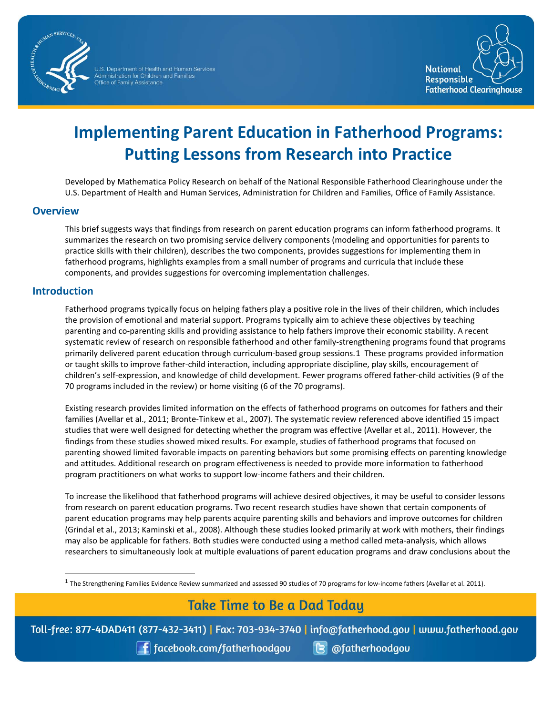

Administration for Children and Families<br>Office of Family Assistance



# **Implementing Parent Education in Fatherhood Programs: Putting Lessons from Research into Practice**

 Developed by Mathematica Policy Research on behalf of the National Responsible Fatherhood Clearinghouse under the U.S. Department of Health and Human Services, Administration for Children and Families, Office of Family Assistance.

#### **Overview**

This brief suggests ways that findings from research on parent education programs can inform fatherhood programs. It summarizes the research on two promising service delivery components (modeling and opportunities for parents to practice skills with their children), describes the two components, provides suggestions for implementing them in fatherhood programs, highlights examples from a small number of programs and curricula that include these components, and provides suggestions for overcoming implementation challenges.

#### **Introduction**

 $\overline{a}$ 

 Fatherhood programs typically focus on helping fathers play a positive role in the lives of their children, which includes the provision of emotional and material support. Programs typically aim to achieve these objectives by teaching systematic review of research on responsible fatherhood and other family-strengthening programs found that programs primarily delivered parent education through curriculum-based group sessions.[1](#page-0-0) These programs provided information or taught skills to improve father-child interaction, including appropriate discipline, play skills, encouragement of 70 programs included in the review) or home visiting (6 of the 70 programs). parenting and co-parenting skills and providing assistance to help fathers improve their economic stability. A recent children's self-expression, and knowledge of child development. Fewer programs offered father-child activities (9 of the

 families (Avellar et al., 2011; Bronte-Tinkew et al., 2007). The systematic review referenced above identified 15 impact studies that were well designed for detecting whether the program was effective (Avellar et al., 2011). However, the parenting showed limited favorable impacts on parenting behaviors but some promising effects on parenting knowledge 70 programs included in the review) or home visiting (6 of the 70 programs).<br>
Existing research provides limited information on the effects of fatherhood programs on outcomes for fathers and<br>
families (Avellar et al., 2011 Existing research provides limited information on the effects of fatherhood programs on outcomes for fathers and their findings from these studies showed mixed results. For example, studies of fatherhood programs that focused on and attitudes. Additional research on program effectiveness is needed to provide more information to fatherhood program practitioners on what works to support low-income fathers and their children.

 from research on parent education programs. Two recent research studies have shown that certain components of (Grindal et al., 2013; Kaminski et al., 2008). Although these studies looked primarily at work with mothers, their findings researchers to simultaneously look at multiple evaluations of parent education programs and draw conclusions about theTo increase the likelihood that fatherhood programs will achieve desired objectives, it may be useful to consider lessons parent education programs may help parents acquire parenting skills and behaviors and improve outcomes for children may also be applicable for fathers. Both studies were conducted using a method called meta-analysis, which allows

## **Take Time to Be a Dad Today**

<span id="page-0-0"></span>Toll-free: 877-4DAD411 (877-432-3411) | Fax: 703-934-3740 | info@fatherhood.gov | www.fatherhood.gov

| f facebook.com/fatherhoodgou **B** @fatherhoodgou

 $1$  The Strengthening Families Evidence Review summarized and assessed 90 studies of 70 programs for low-income fathers (Avellar et al. 2011).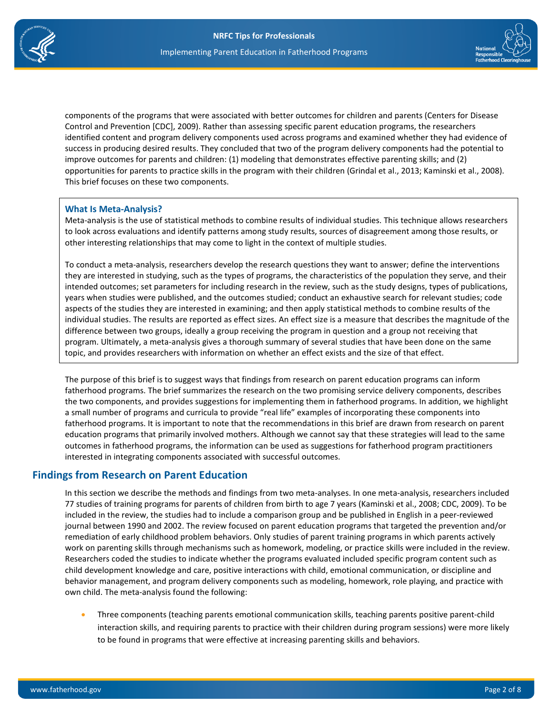

 components of the programs that were associated with better outcomes for children and parents (Centers for Disease Control and Prevention [CDC], 2009). Rather than assessing specific parent education programs, the researchers improve outcomes for parents and children: (1) modeling that demonstrates effective parenting skills; and (2) identified content and program delivery components used across programs and examined whether they had evidence of success in producing desired results. They concluded that two of the program delivery components had the potential to opportunities for parents to practice skills in the program with their children (Grindal et al., 2013; Kaminski et al., 2008). This brief focuses on these two components.

#### **What Is Meta-Analysis?**

 Meta-analysis is the use of statistical methods to combine results of individual studies. This technique allows researchers to look across evaluations and identify patterns among study results, sources of disagreement among those results, or other interesting relationships that may come to light in the context of multiple studies.

 they are interested in studying, such as the types of programs, the characteristics of the population they serve, and their years when studies were published, and the outcomes studied; conduct an exhaustive search for relevant studies; code individual studies. The results are reported as effect sizes. An effect size is a measure that describes the magnitude of the To conduct a meta-analysis, researchers develop the research questions they want to answer; define the interventions intended outcomes; set parameters for including research in the review, such as the study designs, types of publications, aspects of the studies they are interested in examining; and then apply statistical methods to combine results of the difference between two groups, ideally a group receiving the program in question and a group not receiving that program. Ultimately, a meta-analysis gives a thorough summary of several studies that have been done on the same topic, and provides researchers with information on whether an effect exists and the size of that effect.

 fatherhood programs. The brief summarizes the research on the two promising service delivery components, describes fatherhood programs. It is important to note that the recommendations in this brief are drawn from research on parent outcomes in fatherhood programs, the information can be used as suggestions for fatherhood program practitioners The purpose of this brief is to suggest ways that findings from research on parent education programs can inform the two components, and provides suggestions for implementing them in fatherhood programs. In addition, we highlight a small number of programs and curricula to provide "real life" examples of incorporating these components into education programs that primarily involved mothers. Although we cannot say that these strategies will lead to the same interested in integrating components associated with successful outcomes.

## **Findings from Research on Parent Education**

 journal between 1990 and 2002. The review focused on parent education programs that targeted the prevention and/or work on parenting skills through mechanisms such as homework, modeling, or practice skills were included in the review. Researchers coded the studies to indicate whether the programs evaluated included specific program content such as In this section we describe the methods and findings from two meta-analyses. In one meta-analysis, researchers included 77 studies of training programs for parents of children from birth to age 7 years (Kaminski et al., 2008; CDC, 2009). To be included in the review, the studies had to include a comparison group and be published in English in a peer-reviewed remediation of early childhood problem behaviors. Only studies of parent training programs in which parents actively child development knowledge and care, positive interactions with child, emotional communication, or discipline and behavior management, and program delivery components such as modeling, homework, role playing, and practice with own child. The meta-analysis found the following:

• Three components (teaching parents emotional communication skills, teaching parents positive parent-child interaction skills, and requiring parents to practice with their children during program sessions) were more likely to be found in programs that were effective at increasing parenting skills and behaviors.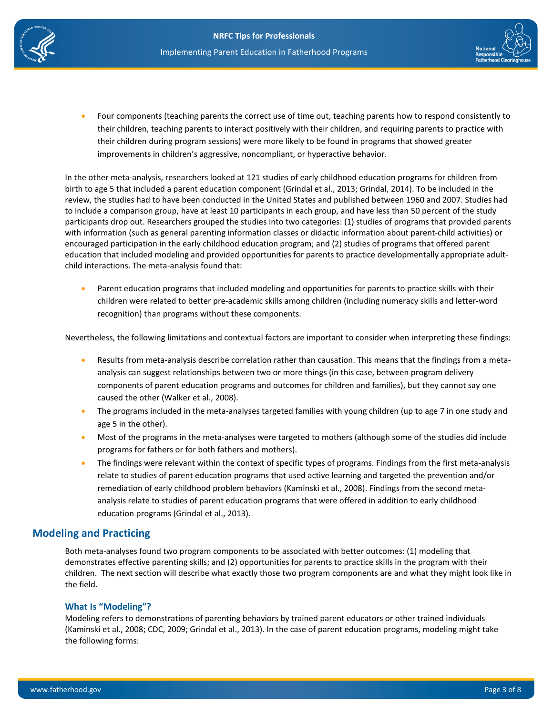



 their children during program sessions) were more likely to be found in programs that showed greater Four components (teaching parents the correct use of time out, teaching parents how to respond consistently to their children, teaching parents to interact positively with their children, and requiring parents to practice with improvements in children's aggressive, noncompliant, or hyperactive behavior.

 In the other meta-analysis, researchers looked at 121 studies of early childhood education programs for children from birth to age 5 that included a parent education component (Grindal et al., 2013; Grindal, 2014). To be included in the participants drop out. Researchers grouped the studies into two categories: (1) studies of programs that provided parents child interactions. The meta-analysis found that: review, the studies had to have been conducted in the United States and published between 1960 and 2007. Studies had to include a comparison group, have at least 10 participants in each group, and have less than 50 percent of the study with information (such as general parenting information classes or didactic information about parent-child activities) or encouraged participation in the early childhood education program; and (2) studies of programs that offered parent education that included modeling and provided opportunities for parents to practice developmentally appropriate adult-

• Parent education programs that included modeling and opportunities for parents to practice skills with their recognition) than programs without these components. children were related to better pre-academic skills among children (including numeracy skills and letter-word

Nevertheless, the following limitations and contextual factors are important to consider when interpreting these findings:

- • Results from meta-analysis describe correlation rather than causation. This means that the findings from a metaanalysis can suggest relationships between two or more things (in this case, between program delivery components of parent education programs and outcomes for children and families), but they cannot say one caused the other (Walker et al., 2008).
- The programs included in the meta-analyses targeted families with young children (up to age 7 in one study and age 5 in the other).
- programs for fathers or for both fathers and mothers). • Most of the programs in the meta-analyses were targeted to mothers (although some of the studies did include
- The findings were relevant within the context of specific types of programs. Findings from the first meta-analysis relate to studies of parent education programs that used active learning and targeted the prevention and/or remediation of early childhood problem behaviors (Kaminski et al., 2008). Findings from the second metaanalysis relate to studies of parent education programs that were offered in addition to early childhood education programs (Grindal et al., 2013).

#### **Modeling and Practicing**

 Both meta-analyses found two program components to be associated with better outcomes: (1) modeling that children. The next section will describe what exactly those two program components are and what they might look like in demonstrates effective parenting skills; and (2) opportunities for parents to practice skills in the program with their the field.

#### **What Is "Modeling"?**

 (Kaminski et al., 2008; CDC, 2009; Grindal et al., 2013). In the case of parent education programs, modeling might take the following forms: Modeling refers to demonstrations of parenting behaviors by trained parent educators or other trained individuals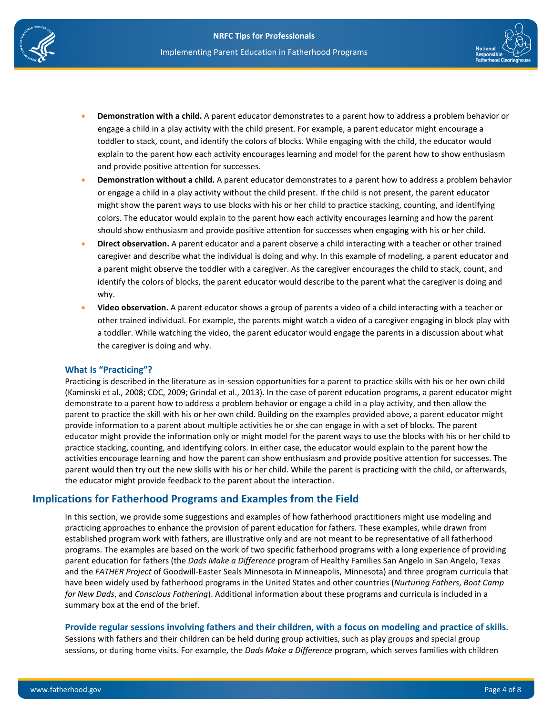



- **Demonstration with a child.** A parent educator demonstrates to a parent how to address a problem behavior or engage a child in a play activity with the child present. For example, a parent educator might encourage a toddler to stack, count, and identify the colors of blocks. While engaging with the child, the educator would explain to the parent how each activity encourages learning and model for the parent how to show enthusiasm and provide positive attention for successes.
- might show the parent ways to use blocks with his or her child to practice stacking, counting, and identifying should show enthusiasm and provide positive attention for successes when engaging with his or her child. **Demonstration without a child.** A parent educator demonstrates to a parent how to address a problem behavior or engage a child in a play activity without the child present. If the child is not present, the parent educator colors. The educator would explain to the parent how each activity encourages learning and how the parent
- caregiver and describe what the individual is doing and why. In this example of modeling, a parent educator and a parent might observe the toddler with a caregiver. As the caregiver encourages the child to stack, count, and **Direct observation.** A parent educator and a parent observe a child interacting with a teacher or other trained identify the colors of blocks, the parent educator would describe to the parent what the caregiver is doing and why.
- other trained individual. For example, the parents might watch a video of a caregiver engaging in block play with Video observation. A parent educator shows a group of parents a video of a child interacting with a teacher or a toddler. While watching the video, the parent educator would engage the parents in a discussion about what the caregiver is doing and why.

#### **What Is "Practicing"?**

 Practicing is described in the literature as in-session opportunities for a parent to practice skills with his or her own child demonstrate to a parent how to address a problem behavior or engage a child in a play activity, and then allow the provide information to a parent about multiple activities he or she can engage in with a set of blocks. The parent activities encourage learning and how the parent can show enthusiasm and provide positive attention for successes. The (Kaminski et al., 2008; CDC, 2009; Grindal et al., 2013). In the case of parent education programs, a parent educator might parent to practice the skill with his or her own child. Building on the examples provided above, a parent educator might educator might provide the information only or might model for the parent ways to use the blocks with his or her child to practice stacking, counting, and identifying colors. In either case, the educator would explain to the parent how the parent would then try out the new skills with his or her child. While the parent is practicing with the child, or afterwards, the educator might provide feedback to the parent about the interaction.

## **Implications for Fatherhood Programs and Examples from the Field**

 In this section, we provide some suggestions and examples of how fatherhood practitioners might use modeling and practicing approaches to enhance the provision of parent education for fathers. These examples, while drawn from programs. The examples are based on the work of two specific fatherhood programs with a long experience of providing parent education for fathers (the *Dads Make a Difference* program of Healthy Families San Angelo in San Angelo, Texas summary box at the end of the brief. established program work with fathers, are illustrative only and are not meant to be representative of all fatherhood and the *FATHER Project* of Goodwill-Easter Seals Minnesota in Minneapolis, Minnesota) and three program curricula that have been widely used by fatherhood programs in the United States and other countries (*Nurturing Fathers*, *Boot Camp for New Dads*, and *Conscious Fathering*). Additional information about these programs and curricula is included in a

#### **Provide regular sessions involving fathers and their children, with a focus on modeling and practice of skills.**

Sessions with fathers and their children can be held during group activities, such as play groups and special group sessions, or during home visits. For example, the *Dads Make a Difference* program, which serves families with children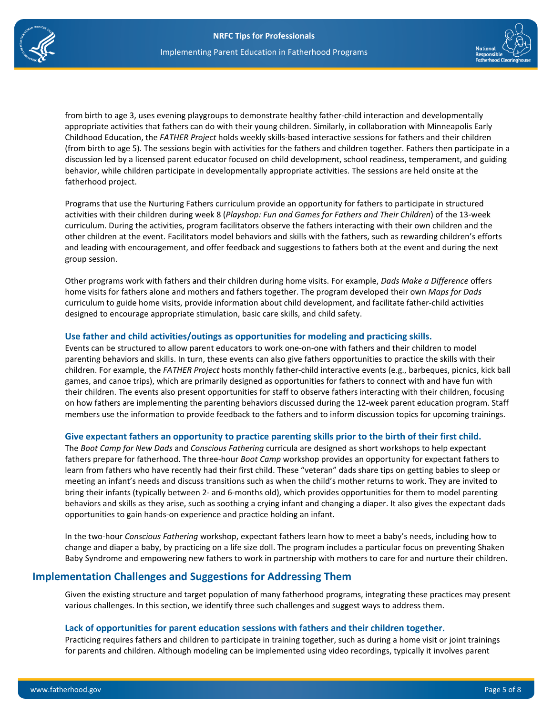



 behavior, while children participate in developmentally appropriate activities. The sessions are held onsite at the from birth to age 3, uses evening playgroups to demonstrate healthy father-child interaction and developmentally appropriate activities that fathers can do with their young children. Similarly, in collaboration with Minneapolis Early Childhood Education, the *FATHER Project* holds weekly skills-based interactive sessions for fathers and their children (from birth to age 5). The sessions begin with activities for the fathers and children together. Fathers then participate in a discussion led by a licensed parent educator focused on child development, school readiness, temperament, and guiding fatherhood project.

 curriculum. During the activities, program facilitators observe the fathers interacting with their own children and the Programs that use the Nurturing Fathers curriculum provide an opportunity for fathers to participate in structured activities with their children during week 8 (*Playshop: Fun and Games for Fathers and Their Children*) of the 13-week other children at the event. Facilitators model behaviors and skills with the fathers, such as rewarding children's efforts and leading with encouragement, and offer feedback and suggestions to fathers both at the event and during the next group session.

 Other programs work with fathers and their children during home visits. For example, *Dads Make a Difference* offers home visits for fathers alone and mothers and fathers together. The program developed their own *Maps for Dads*  curriculum to guide home visits, provide information about child development, and facilitate father-child activities designed to encourage appropriate stimulation, basic care skills, and child safety.

#### **Use father and child activities/outings as opportunities for modeling and practicing skills.**

 parenting behaviors and skills. In turn, these events can also give fathers opportunities to practice the skills with their children. For example, the *FATHER Project* hosts monthly father-child interactive events (e.g., barbeques, picnics, kick ball their children. The events also present opportunities for staff to observe fathers interacting with their children, focusing Events can be structured to allow parent educators to work one-on-one with fathers and their children to model games, and canoe trips), which are primarily designed as opportunities for fathers to connect with and have fun with on how fathers are implementing the parenting behaviors discussed during the 12-week parent education program. Staff members use the information to provide feedback to the fathers and to inform discussion topics for upcoming trainings.

#### **Give expectant fathers an opportunity to practice parenting skills prior to the birth of their first child.**

 The *Boot Camp for New Dads* and *Conscious Fathering* curricula are designed as short workshops to help expectant learn from fathers who have recently had their first child. These "veteran" dads share tips on getting babies to sleep or meeting an infant's needs and discuss transitions such as when the child's mother returns to work. They are invited to behaviors and skills as they arise, such as soothing a crying infant and changing a diaper. It also gives the expectant dads fathers prepare for fatherhood. The three-hour *Boot Camp* workshop provides an opportunity for expectant fathers to bring their infants (typically between 2- and 6-months old), which provides opportunities for them to model parenting opportunities to gain hands-on experience and practice holding an infant.

In the two-hour *Conscious Fathering* workshop, expectant fathers learn how to meet a baby's needs, including how to change and diaper a baby, by practicing on a life size doll. The program includes a particular focus on preventing Shaken Baby Syndrome and empowering new fathers to work in partnership with mothers to care for and nurture their children.

## **Implementation Challenges and Suggestions for Addressing Them**

 Given the existing structure and target population of many fatherhood programs, integrating these practices may present various challenges. In this section, we identify three such challenges and suggest ways to address them.

#### **Lack of opportunities for parent education sessions with fathers and their children together.**

Practicing requires fathers and children to participate in training together, such as during a home visit or joint trainings for parents and children. Although modeling can be implemented using video recordings, typically it involves parent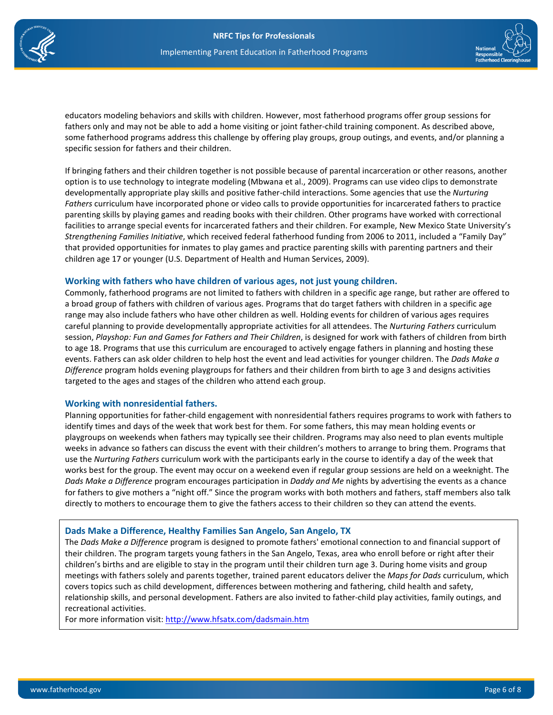



 educators modeling behaviors and skills with children. However, most fatherhood programs offer group sessions for specific session for fathers and their children. fathers only and may not be able to add a home visiting or joint father-child training component. As described above, some fatherhood programs address this challenge by offering play groups, group outings, and events, and/or planning a

 parenting skills by playing games and reading books with their children. Other programs have worked with correctional facilities to arrange special events for incarcerated fathers and their children. For example, New Mexico State University's *Strengthening Families Initiative*, which received federal fatherhood funding from 2006 to 2011, included a "Family Day" If bringing fathers and their children together is not possible because of parental incarceration or other reasons, another option is to use technology to integrate modeling (Mbwana et al., 2009). Programs can use video clips to demonstrate developmentally appropriate play skills and positive father-child interactions. Some agencies that use the *Nurturing Fathers* curriculum have incorporated phone or video calls to provide opportunities for incarcerated fathers to practice that provided opportunities for inmates to play games and practice parenting skills with parenting partners and their children age 17 or younger (U.S. Department of Health and Human Services, 2009).

#### **Working with fathers who have children of various ages, not just young children.**

 a broad group of fathers with children of various ages. Programs that do target fathers with children in a specific age range may also include fathers who have other children as well. Holding events for children of various ages requires careful planning to provide developmentally appropriate activities for all attendees. The *Nurturing Fathers* curriculum session, *Playshop: Fun and Games for Fathers and Their Children*, is designed for work with fathers of children from birth to age 18. Programs that use this curriculum are encouraged to actively engage fathers in planning and hosting these events. Fathers can ask older children to help host the event and lead activities for younger children. The *Dads Make a*  Commonly, fatherhood programs are not limited to fathers with children in a specific age range, but rather are offered to *Difference* program holds evening playgroups for fathers and their children from birth to age 3 and designs activities targeted to the ages and stages of the children who attend each group.

#### **Working with nonresidential fathers.**

 identify times and days of the week that work best for them. For some fathers, this may mean holding events or playgroups on weekends when fathers may typically see their children. Programs may also need to plan events multiple weeks in advance so fathers can discuss the event with their children's mothers to arrange to bring them. Programs that *Dads Make a Difference* program encourages participation in *Daddy and Me* nights by advertising the events as a chance Planning opportunities for father-child engagement with nonresidential fathers requires programs to work with fathers to use the *Nurturing Fathers* curriculum work with the participants early in the course to identify a day of the week that works best for the group. The event may occur on a weekend even if regular group sessions are held on a weeknight. The for fathers to give mothers a "night off." Since the program works with both mothers and fathers, staff members also talk directly to mothers to encourage them to give the fathers access to their children so they can attend the events.

#### **Dads Make a Difference, Healthy Families San Angelo, San Angelo, TX**

 meetings with fathers solely and parents together, trained parent educators deliver the *Maps for Dads* curriculum, which covers topics such as child development, differences between mothering and fathering, child health and safety, The *Dads Make a Difference* program is designed to promote fathers' emotional connection to and financial support of their children. The program targets young fathers in the San Angelo, Texas, area who enroll before or right after their children's births and are eligible to stay in the program until their children turn age 3. During home visits and group relationship skills, and personal development. Fathers are also invited to father-child play activities, family outings, and recreational activities.

For more information visit: http://www.hfsatx.com/dadsmain.htm For more information visit: <u>http://www.hfsatx.com/dadsmain.htm</u><br>www.fatherhood.gov Page 6 of 8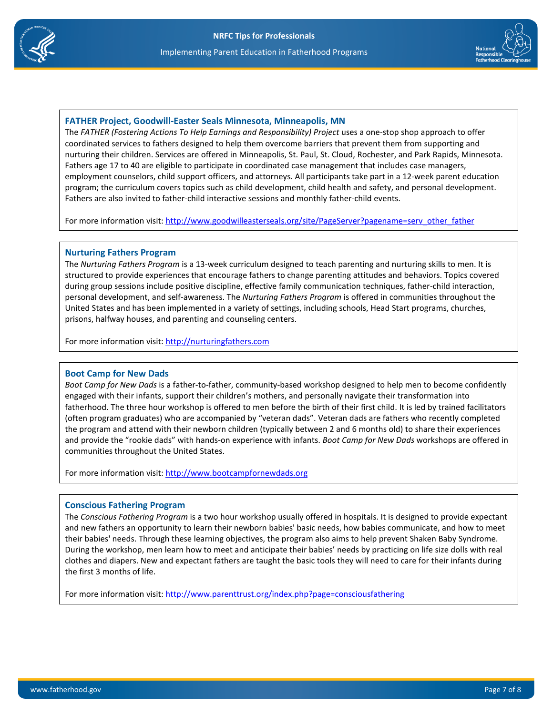

#### **FATHER Project, Goodwill-Easter Seals Minnesota, Minneapolis, MN**

The *FATHER (Fostering Actions To Help Earnings and Responsibility) Project uses a one-stop shop approach to offer* coordinated services to fathers designed to help them overcome barriers that prevent them from supporting and nurturing their children. Services are offered in Minneapolis, St. Paul, St. Cloud, Rochester, and Park Rapids, Minnesota. Fathers age 17 to 40 are eligible to participate in coordinated case management that includes case managers, employment counselors, child support officers, and attorneys. All participants take part in a 12-week parent education program; the curriculum covers topics such as child development, child health and safety, and personal development. Fathers are also invited to father-child interactive sessions and monthly father-child events.

For more information visit: http://www.goodwilleasterseals.org/site/PageServer?pagename=serv\_other\_father

#### **Nurturing Fathers Program**

The *Nurturing Fathers Program* is a 13-week curriculum designed to teach parenting and nurturing skills to men. It is structured to provide experiences that encourage fathers to change parenting attitudes and behaviors. Topics covered during group sessions include positive discipline, effective family communication techniques, father-child interaction, personal development, and self-awareness. The *Nurturing Fathers Program* is offered in communities throughout the United States and has been implemented in a variety of settings, including schools, Head Start programs, churches, prisons, halfway houses, and parenting and counseling centers. tp://www.goodwilleasterseals.org/site/PageServer?pagename=serv\_other\_father\_<br>1<br>mis a 13-week curriculum designed to teach parenting and nurturing skills to men.<br>nces that encourage fathers to change parenting attitudes an

For more information visit: http://nurturingfathers.com

#### **Boot Camp for New Dads**

*Boot Camp for New Dads* is a father-to-father, community-based workshop designed to help men to become confidently engaged with their infants, support their children's mothers, and personally navigate their transformation into fatherhood. The three hour workshop is offered to men before the birth of their first child. It is led by trained facilitators (often program graduates) who are accompanied by "veteran dads". Veteran dads are fathers who recently completed the program and attend with their newborn children (typically between 2 and 6 months old) to share their experiences and provide the "rookie dads" with hands-on experience with infants. *Boot Camp for New Dads* workshops are offered in communities throughout the United States.

For more information visit: http://www.bootcampfornewdads.org

#### **Conscious Fathering Program**

The *Conscious Fathering Program* is a two hour workshop usually offered in hospitals. It is designed to provide expectant and new fathers an opportunity to learn their newborn babies' basic needs, how babies communicate, and how to meet their babies' needs. Through these learning objectives, the program also aims to help prevent Shaken Baby Syndrome. During the workshop, men learn how to meet and anticipate their babies' needs by practicing on life size dolls with real clothes and diapers. New and expectant fathers are taught the basic tools they will need to care for their infants during the first 3 months of life. onvisit: http://www.bootcampfornewdads.org<br>
Ing Program<br>
Fing Program<br>
Program is a two hour workshop usually of<br>
poportunity to learn their newborn babies' bas<br>
Through these learning objectives, the program

For more information visit: http://www.parenttrust.org/index.php?page=consciousfathering